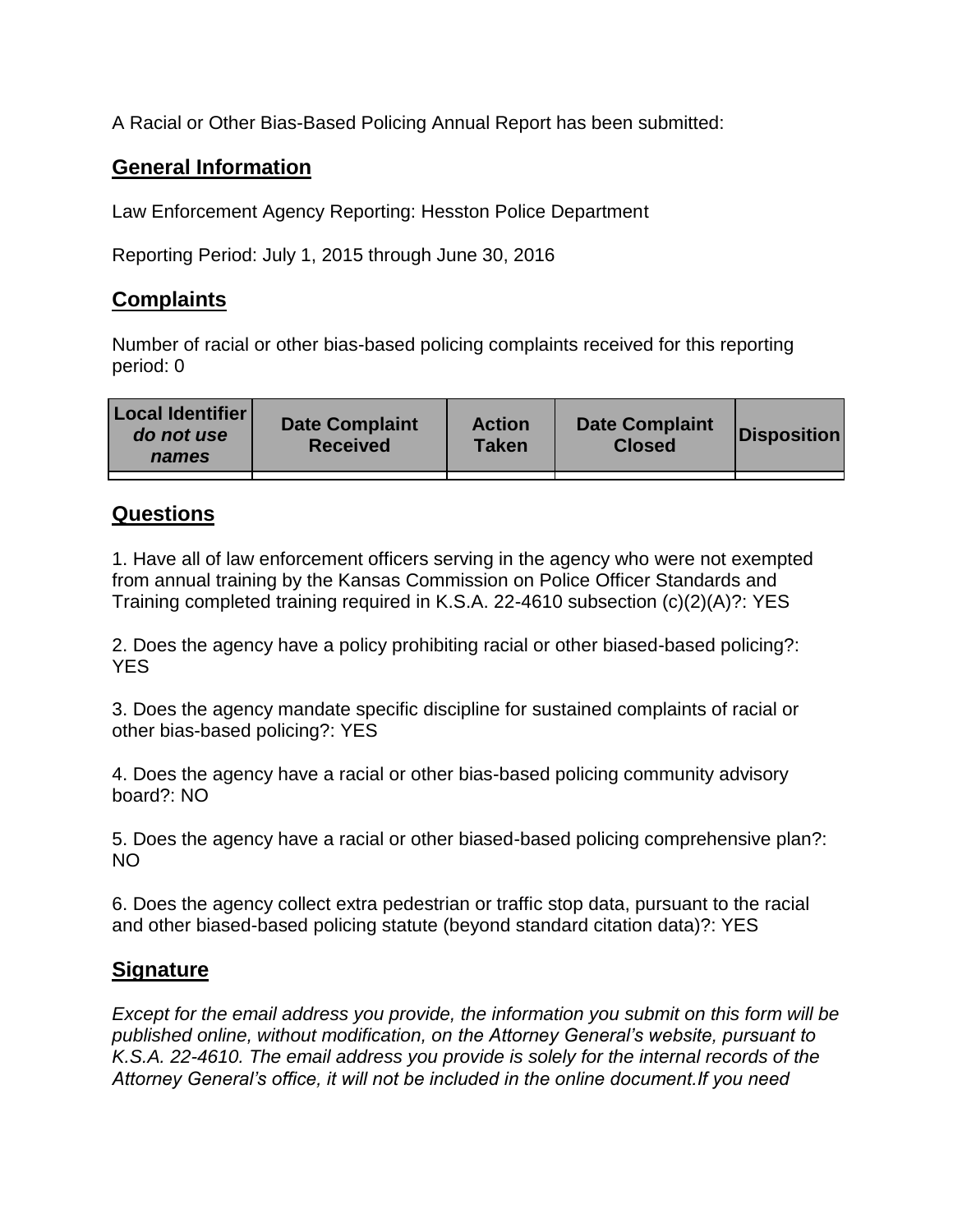A Racial or Other Bias-Based Policing Annual Report has been submitted:

## **General Information**

Law Enforcement Agency Reporting: Hesston Police Department

Reporting Period: July 1, 2015 through June 30, 2016

## **Complaints**

Number of racial or other bias-based policing complaints received for this reporting period: 0

| <b>Local Identifier</b><br>do not use<br>names | <b>Date Complaint</b><br><b>Received</b> | <b>Action</b><br><b>Taken</b> | <b>Date Complaint</b><br><b>Closed</b> | Disposition |
|------------------------------------------------|------------------------------------------|-------------------------------|----------------------------------------|-------------|
|                                                |                                          |                               |                                        |             |

## **Questions**

1. Have all of law enforcement officers serving in the agency who were not exempted from annual training by the Kansas Commission on Police Officer Standards and Training completed training required in K.S.A. 22-4610 subsection (c)(2)(A)?: YES

2. Does the agency have a policy prohibiting racial or other biased-based policing?: YES

3. Does the agency mandate specific discipline for sustained complaints of racial or other bias-based policing?: YES

4. Does the agency have a racial or other bias-based policing community advisory board?: NO

5. Does the agency have a racial or other biased-based policing comprehensive plan?: NO

6. Does the agency collect extra pedestrian or traffic stop data, pursuant to the racial and other biased-based policing statute (beyond standard citation data)?: YES

## **Signature**

*Except for the email address you provide, the information you submit on this form will be published online, without modification, on the Attorney General's website, pursuant to K.S.A. 22-4610. The email address you provide is solely for the internal records of the Attorney General's office, it will not be included in the online document.If you need*